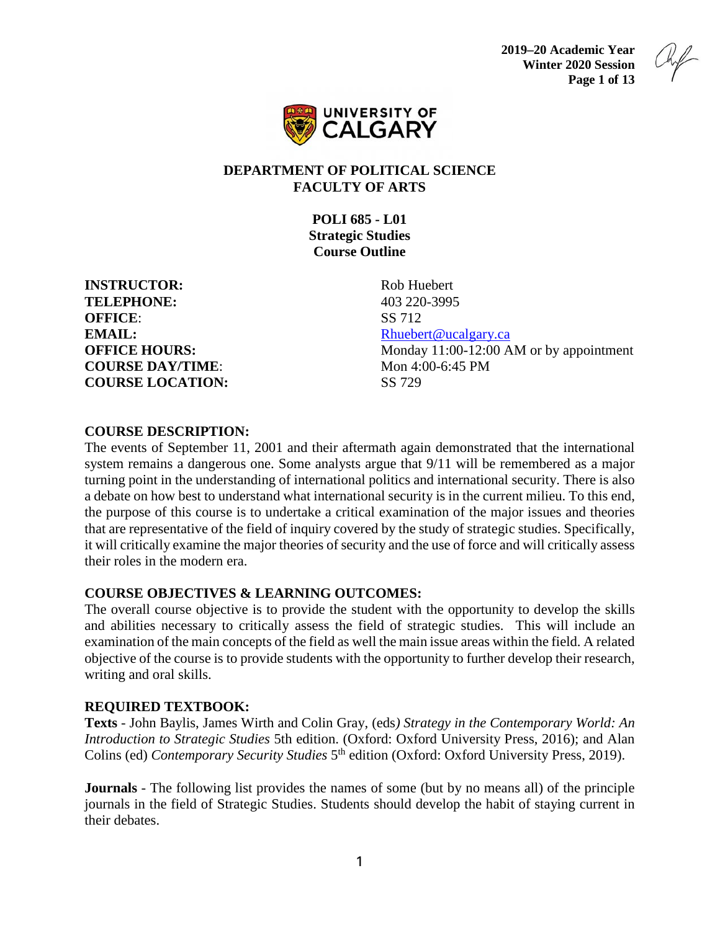**2019–20 Academic Year Winter 2020 Session Page 1 of 13**



#### **DEPARTMENT OF POLITICAL SCIENCE FACULTY OF ARTS**

**POLI 685 - L01 Strategic Studies Course Outline**

**INSTRUCTOR:** Rob Huebert **TELEPHONE:** 403 220-3995 **OFFICE:** SS 712 **EMAIL:** [Rhuebert@ucalgary.ca](mailto:Rhuebert@ucalgary.ca) **COURSE DAY/TIME:** Mon 4:00-6:45 PM **COURSE LOCATION:** SS 729

**OFFICE HOURS:** Monday 11:00-12:00 AM or by appointment

#### **COURSE DESCRIPTION:**

The events of September 11, 2001 and their aftermath again demonstrated that the international system remains a dangerous one. Some analysts argue that 9/11 will be remembered as a major turning point in the understanding of international politics and international security. There is also a debate on how best to understand what international security is in the current milieu. To this end, the purpose of this course is to undertake a critical examination of the major issues and theories that are representative of the field of inquiry covered by the study of strategic studies. Specifically, it will critically examine the major theories of security and the use of force and will critically assess their roles in the modern era.

#### **COURSE OBJECTIVES & LEARNING OUTCOMES:**

The overall course objective is to provide the student with the opportunity to develop the skills and abilities necessary to critically assess the field of strategic studies. This will include an examination of the main concepts of the field as well the main issue areas within the field. A related objective of the course is to provide students with the opportunity to further develop their research, writing and oral skills.

# **REQUIRED TEXTBOOK:**

**Texts** - John Baylis, James Wirth and Colin Gray, (eds*) Strategy in the Contemporary World: An Introduction to Strategic Studies* 5th edition. (Oxford: Oxford University Press, 2016); and Alan Colins (ed) *Contemporary Security Studies* 5<sup>th</sup> edition (Oxford: Oxford University Press, 2019).

**Journals** - The following list provides the names of some (but by no means all) of the principle journals in the field of Strategic Studies. Students should develop the habit of staying current in their debates.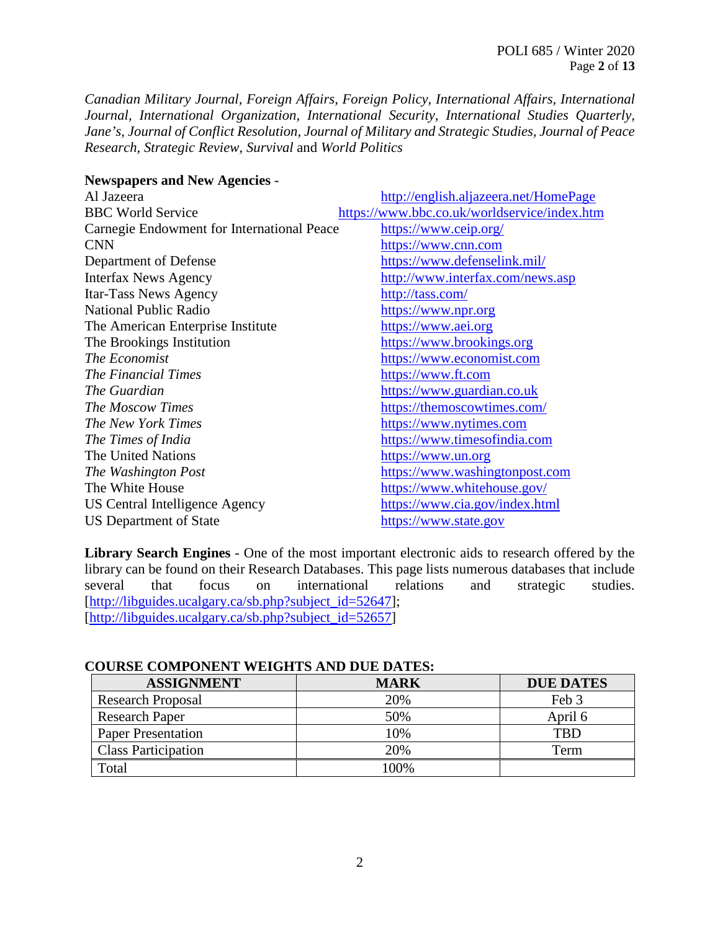*Canadian Military Journal, Foreign Affairs, Foreign Policy, International Affairs, International Journal, International Organization, International Security, International Studies Quarterly, Jane's, Journal of Conflict Resolution, Journal of Military and Strategic Studies, Journal of Peace Research, Strategic Review, Survival* and *World Politics*

| <b>Newspapers and New Agencies -</b> |  |  |  |  |
|--------------------------------------|--|--|--|--|
|--------------------------------------|--|--|--|--|

| Al Jazeera                                 | http://english.aljazeera.net/HomePage        |
|--------------------------------------------|----------------------------------------------|
| <b>BBC World Service</b>                   | https://www.bbc.co.uk/worldservice/index.htm |
| Carnegie Endowment for International Peace | https://www.ceip.org/                        |
| <b>CNN</b>                                 | https://www.cnn.com                          |
| Department of Defense                      | https://www.defenselink.mil/                 |
| <b>Interfax News Agency</b>                | http://www.interfax.com/news.asp             |
| Itar-Tass News Agency                      | http://tass.com/                             |
| <b>National Public Radio</b>               | https://www.npr.org                          |
| The American Enterprise Institute          | https://www.aei.org                          |
| The Brookings Institution                  | https://www.brookings.org                    |
| <i>The Economist</i>                       | https://www.economist.com                    |
| <b>The Financial Times</b>                 | https://www.ft.com                           |
| The Guardian                               | https://www.guardian.co.uk                   |
| <b>The Moscow Times</b>                    | https://themoscowtimes.com/                  |
| The New York Times                         | https://www.nytimes.com                      |
| The Times of India                         | https://www.timesofindia.com                 |
| The United Nations                         | https://www.un.org                           |
| The Washington Post                        | https://www.washingtonpost.com               |
| The White House                            | https://www.whitehouse.gov/                  |
| US Central Intelligence Agency             | https://www.cia.gov/index.html               |
| US Department of State                     | https://www.state.gov                        |

**Library Search Engines** - One of the most important electronic aids to research offered by the library can be found on their Research Databases. This page lists numerous databases that include several that focus on international relations and strategic studies. [\[http://libguides.ucalgary.ca/sb.php?subject\\_id=52647\]](http://libguides.ucalgary.ca/sb.php?subject_id=52647); [\[http://libguides.ucalgary.ca/sb.php?subject\\_id=52657\]](http://libguides.ucalgary.ca/sb.php?subject_id=52657)

#### **COURSE COMPONENT WEIGHTS AND DUE DATES:**

| <b>ASSIGNMENT</b>          | <b>MARK</b> | <b>DUE DATES</b> |
|----------------------------|-------------|------------------|
| <b>Research Proposal</b>   | 20%         | Feb 3            |
| <b>Research Paper</b>      | 50%         | April 6          |
| <b>Paper Presentation</b>  | 10%         | TRD              |
| <b>Class Participation</b> | 20%         | Term             |
| Total                      | $00\%$      |                  |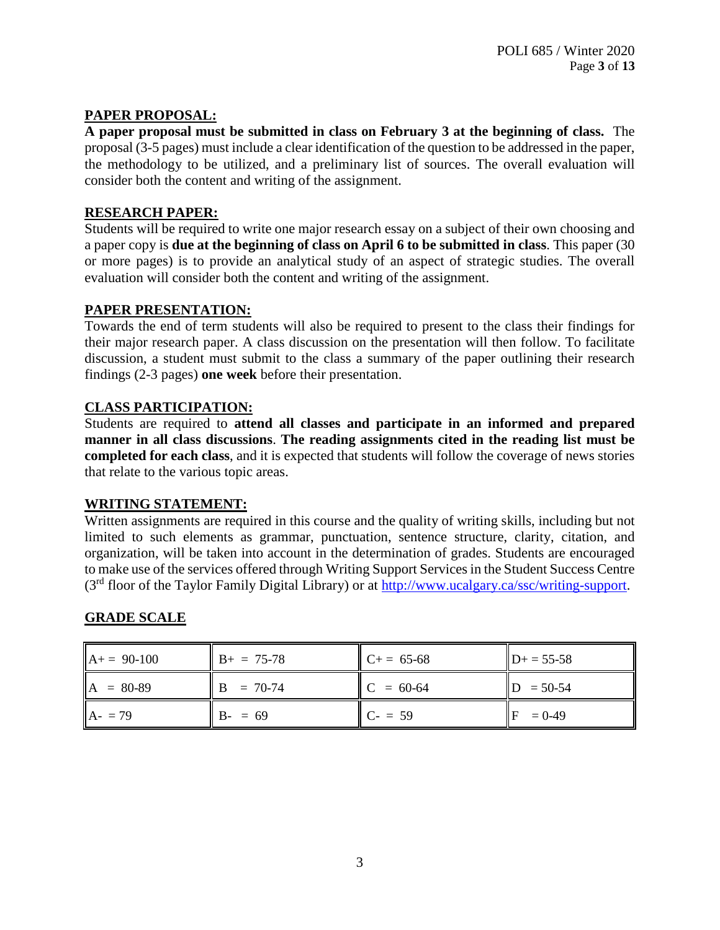# **PAPER PROPOSAL:**

**A paper proposal must be submitted in class on February 3 at the beginning of class.** The proposal (3-5 pages) must include a clear identification of the question to be addressed in the paper, the methodology to be utilized, and a preliminary list of sources. The overall evaluation will consider both the content and writing of the assignment.

# **RESEARCH PAPER:**

Students will be required to write one major research essay on a subject of their own choosing and a paper copy is **due at the beginning of class on April 6 to be submitted in class**. This paper (30 or more pages) is to provide an analytical study of an aspect of strategic studies. The overall evaluation will consider both the content and writing of the assignment.

# **PAPER PRESENTATION:**

Towards the end of term students will also be required to present to the class their findings for their major research paper. A class discussion on the presentation will then follow. To facilitate discussion, a student must submit to the class a summary of the paper outlining their research findings (2-3 pages) **one week** before their presentation.

# **CLASS PARTICIPATION:**

Students are required to **attend all classes and participate in an informed and prepared manner in all class discussions**. **The reading assignments cited in the reading list must be completed for each class**, and it is expected that students will follow the coverage of news stories that relate to the various topic areas.

# **WRITING STATEMENT:**

Written assignments are required in this course and the quality of writing skills, including but not limited to such elements as grammar, punctuation, sentence structure, clarity, citation, and organization, will be taken into account in the determination of grades. Students are encouraged to make use of the services offered through Writing Support Services in the Student Success Centre (3rd floor of the Taylor Family Digital Library) or at [http://www.ucalgary.ca/ssc/writing-support.](http://www.ucalgary.ca/ssc/writing-support)

# **GRADE SCALE**

| $A+= 90-100$ | $B+ = 75-78$ | $C+= 65-68$ | $D+ = 55-58$ |
|--------------|--------------|-------------|--------------|
| $A = 80-89$  | $B = 70-74$  | $C = 60-64$ | $D = 50-54$  |
| $A - 79$     | $B - 59$     | $C - 59$    | $= 0 - 49$   |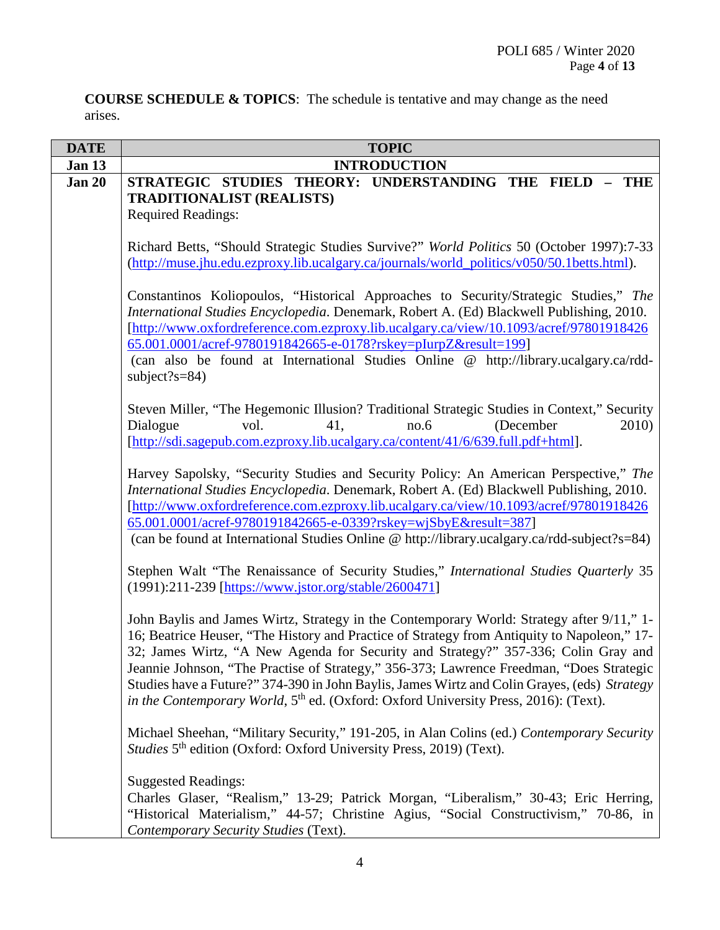**COURSE SCHEDULE & TOPICS**: The schedule is tentative and may change as the need arises.

| <b>DATE</b>   | <b>TOPIC</b>                                                                                                                                                                                                                                                                                                                                                                                                                                                                                                                                                                  |
|---------------|-------------------------------------------------------------------------------------------------------------------------------------------------------------------------------------------------------------------------------------------------------------------------------------------------------------------------------------------------------------------------------------------------------------------------------------------------------------------------------------------------------------------------------------------------------------------------------|
| Jan 13        | <b>INTRODUCTION</b>                                                                                                                                                                                                                                                                                                                                                                                                                                                                                                                                                           |
| <b>Jan 20</b> | STRATEGIC STUDIES THEORY: UNDERSTANDING THE FIELD<br>$-$ THE<br><b>TRADITIONALIST (REALISTS)</b><br><b>Required Readings:</b>                                                                                                                                                                                                                                                                                                                                                                                                                                                 |
|               | Richard Betts, "Should Strategic Studies Survive?" World Politics 50 (October 1997):7-33<br>(http://muse.jhu.edu.ezproxy.lib.ucalgary.ca/journals/world_politics/v050/50.1betts.html).                                                                                                                                                                                                                                                                                                                                                                                        |
|               | Constantinos Koliopoulos, "Historical Approaches to Security/Strategic Studies," The<br>International Studies Encyclopedia. Denemark, Robert A. (Ed) Blackwell Publishing, 2010.<br>[http://www.oxfordreference.com.ezproxy.lib.ucalgary.ca/view/10.1093/acref/97801918426<br>65.001.0001/acref-9780191842665-e-0178?rskey=pIurpZ&result=199]<br>(can also be found at International Studies Online @ http://library.ucalgary.ca/rdd-<br>subject?s= $84$ )                                                                                                                    |
|               | Steven Miller, "The Hegemonic Illusion? Traditional Strategic Studies in Context," Security<br>Dialogue<br>vol.<br>no.6<br>(December<br>2010)<br>41,<br>[http://sdi.sagepub.com.ezproxy.lib.ucalgary.ca/content/41/6/639.full.pdf+html].                                                                                                                                                                                                                                                                                                                                      |
|               | Harvey Sapolsky, "Security Studies and Security Policy: An American Perspective," The<br>International Studies Encyclopedia. Denemark, Robert A. (Ed) Blackwell Publishing, 2010.<br>[http://www.oxfordreference.com.ezproxy.lib.ucalgary.ca/view/10.1093/acref/97801918426<br>65.001.0001/acref-9780191842665-e-0339?rskey=wjSbyE&result=387]<br>(can be found at International Studies Online @ http://library.ucalgary.ca/rdd-subject?s=84)                                                                                                                                |
|               | Stephen Walt "The Renaissance of Security Studies," International Studies Quarterly 35<br>(1991):211-239 [https://www.jstor.org/stable/2600471]                                                                                                                                                                                                                                                                                                                                                                                                                               |
|               | John Baylis and James Wirtz, Strategy in the Contemporary World: Strategy after 9/11," 1-<br>16; Beatrice Heuser, "The History and Practice of Strategy from Antiquity to Napoleon," 17-<br>32; James Wirtz, "A New Agenda for Security and Strategy?" 357-336; Colin Gray and<br>Jeannie Johnson, "The Practise of Strategy," 356-373; Lawrence Freedman, "Does Strategic<br>Studies have a Future?" 374-390 in John Baylis, James Wirtz and Colin Grayes, (eds) Strategy<br>in the Contemporary World, 5 <sup>th</sup> ed. (Oxford: Oxford University Press, 2016): (Text). |
|               | Michael Sheehan, "Military Security," 191-205, in Alan Colins (ed.) Contemporary Security<br>Studies 5 <sup>th</sup> edition (Oxford: Oxford University Press, 2019) (Text).                                                                                                                                                                                                                                                                                                                                                                                                  |
|               | <b>Suggested Readings:</b><br>Charles Glaser, "Realism," 13-29; Patrick Morgan, "Liberalism," 30-43; Eric Herring,<br>"Historical Materialism," 44-57; Christine Agius, "Social Constructivism," 70-86, in<br>Contemporary Security Studies (Text).                                                                                                                                                                                                                                                                                                                           |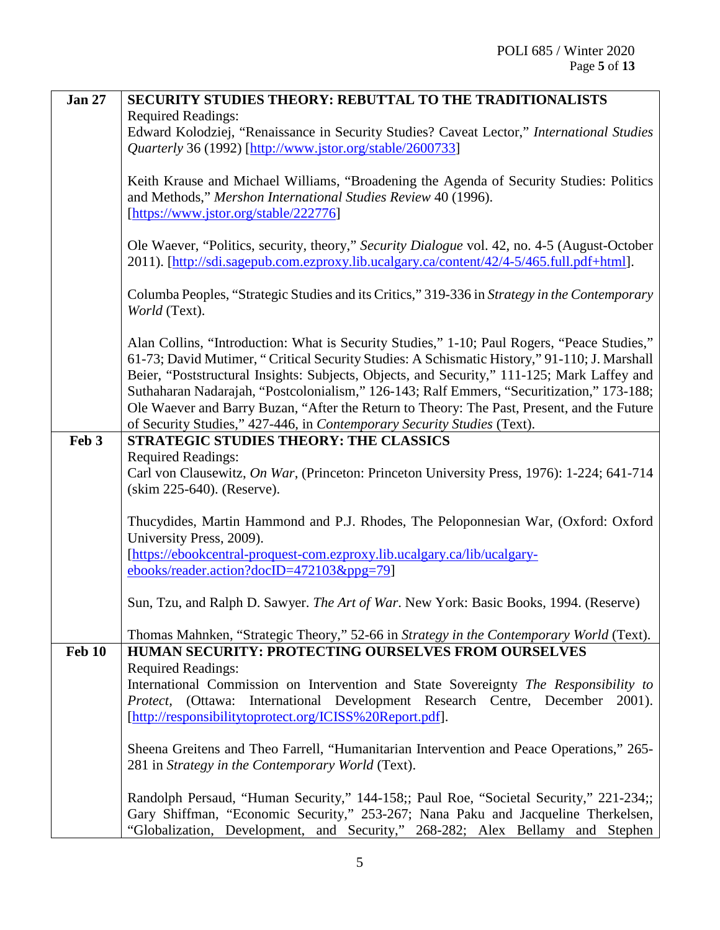| <b>Jan 27</b> | <b>SECURITY STUDIES THEORY: REBUTTAL TO THE TRADITIONALISTS</b>                               |
|---------------|-----------------------------------------------------------------------------------------------|
|               | <b>Required Readings:</b>                                                                     |
|               | Edward Kolodziej, "Renaissance in Security Studies? Caveat Lector," International Studies     |
|               | Quarterly 36 (1992) [http://www.jstor.org/stable/2600733]                                     |
|               |                                                                                               |
|               | Keith Krause and Michael Williams, "Broadening the Agenda of Security Studies: Politics       |
|               | and Methods," Mershon International Studies Review 40 (1996).                                 |
|               | [https://www.jstor.org/stable/222776]                                                         |
|               |                                                                                               |
|               | Ole Waever, "Politics, security, theory," Security Dialogue vol. 42, no. 4-5 (August-October  |
|               | 2011). [http://sdi.sagepub.com.ezproxy.lib.ucalgary.ca/content/42/4-5/465.full.pdf+html].     |
|               |                                                                                               |
|               | Columba Peoples, "Strategic Studies and its Critics," 319-336 in Strategy in the Contemporary |
|               | World (Text).                                                                                 |
|               |                                                                                               |
|               | Alan Collins, "Introduction: What is Security Studies," 1-10; Paul Rogers, "Peace Studies,"   |
|               | 61-73; David Mutimer, "Critical Security Studies: A Schismatic History," 91-110; J. Marshall  |
|               | Beier, "Poststructural Insights: Subjects, Objects, and Security," 111-125; Mark Laffey and   |
|               | Suthaharan Nadarajah, "Postcolonialism," 126-143; Ralf Emmers, "Securitization," 173-188;     |
|               | Ole Waever and Barry Buzan, "After the Return to Theory: The Past, Present, and the Future    |
|               | of Security Studies," 427-446, in Contemporary Security Studies (Text).                       |
| Feb 3         | STRATEGIC STUDIES THEORY: THE CLASSICS                                                        |
|               | <b>Required Readings:</b>                                                                     |
|               | Carl von Clausewitz, On War, (Princeton: Princeton University Press, 1976): 1-224; 641-714    |
|               | (skim 225-640). (Reserve).                                                                    |
|               |                                                                                               |
|               | Thucydides, Martin Hammond and P.J. Rhodes, The Peloponnesian War, (Oxford: Oxford            |
|               | University Press, 2009).                                                                      |
|               | [https://ebookcentral-proquest-com.ezproxy.lib.ucalgary.ca/lib/ucalgary-                      |
|               | ebooks/reader.action?docID=472103&ppg=79]                                                     |
|               |                                                                                               |
|               | Sun, Tzu, and Ralph D. Sawyer. The Art of War. New York: Basic Books, 1994. (Reserve)         |
|               |                                                                                               |
|               | Thomas Mahnken, "Strategic Theory," 52-66 in Strategy in the Contemporary World (Text).       |
| <b>Feb 10</b> | <b>HUMAN SECURITY: PROTECTING OURSELVES FROM OURSELVES</b>                                    |
|               | <b>Required Readings:</b>                                                                     |
|               | International Commission on Intervention and State Sovereignty The Responsibility to          |
|               | Protect, (Ottawa: International Development Research Centre, December<br>$2001$ ).            |
|               | [http://responsibilitytoprotect.org/ICISS%20Report.pdf].                                      |
|               |                                                                                               |
|               | Sheena Greitens and Theo Farrell, "Humanitarian Intervention and Peace Operations," 265-      |
|               | 281 in Strategy in the Contemporary World (Text).                                             |
|               |                                                                                               |
|               | Randolph Persaud, "Human Security," 144-158;; Paul Roe, "Societal Security," 221-234;         |
|               | Gary Shiffman, "Economic Security," 253-267; Nana Paku and Jacqueline Therkelsen,             |
|               | "Globalization, Development, and Security," 268-282; Alex Bellamy and Stephen                 |
|               |                                                                                               |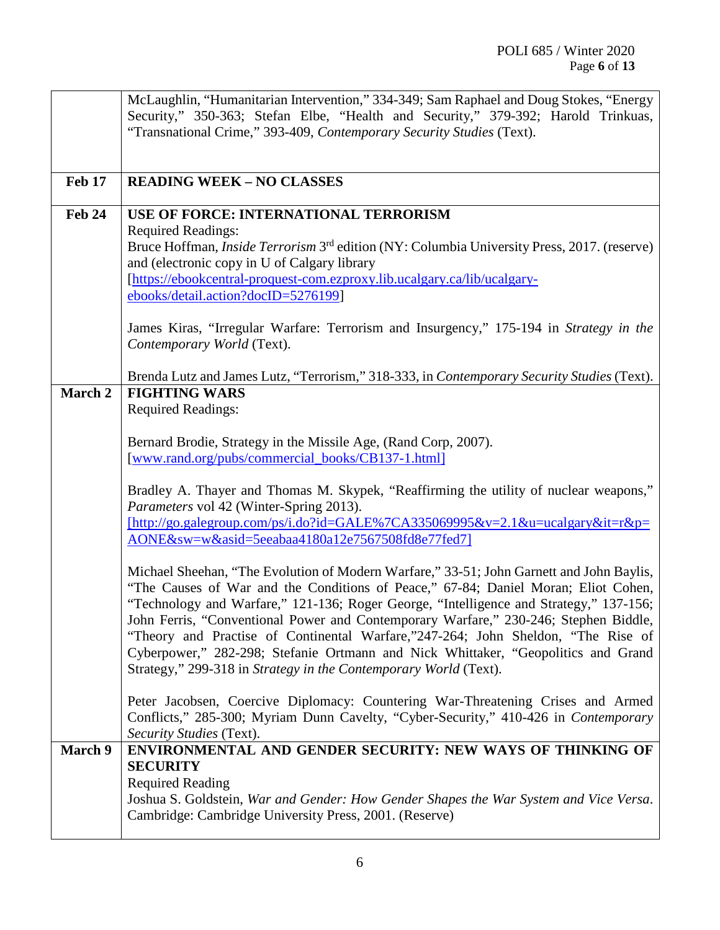|                | McLaughlin, "Humanitarian Intervention," 334-349; Sam Raphael and Doug Stokes, "Energy                                                                                   |
|----------------|--------------------------------------------------------------------------------------------------------------------------------------------------------------------------|
|                | Security," 350-363; Stefan Elbe, "Health and Security," 379-392; Harold Trinkuas,<br>"Transnational Crime," 393-409, Contemporary Security Studies (Text).               |
|                |                                                                                                                                                                          |
|                |                                                                                                                                                                          |
| <b>Feb 17</b>  | <b>READING WEEK - NO CLASSES</b>                                                                                                                                         |
| <b>Feb 24</b>  | USE OF FORCE: INTERNATIONAL TERRORISM                                                                                                                                    |
|                | <b>Required Readings:</b>                                                                                                                                                |
|                | Bruce Hoffman, <i>Inside Terrorism</i> 3 <sup>rd</sup> edition (NY: Columbia University Press, 2017. (reserve)                                                           |
|                | and (electronic copy in U of Calgary library<br>[https://ebookcentral-proquest-com.ezproxy.lib.ucalgary.ca/lib/ucalgary-                                                 |
|                | ebooks/detail.action?docID=5276199]                                                                                                                                      |
|                |                                                                                                                                                                          |
|                | James Kiras, "Irregular Warfare: Terrorism and Insurgency," 175-194 in Strategy in the<br>Contemporary World (Text).                                                     |
|                |                                                                                                                                                                          |
|                | Brenda Lutz and James Lutz, "Terrorism," 318-333, in Contemporary Security Studies (Text).                                                                               |
| March 2        | <b>FIGHTING WARS</b>                                                                                                                                                     |
|                | <b>Required Readings:</b>                                                                                                                                                |
|                | Bernard Brodie, Strategy in the Missile Age, (Rand Corp, 2007).                                                                                                          |
|                | [www.rand.org/pubs/commercial_books/CB137-1.html]                                                                                                                        |
|                | Bradley A. Thayer and Thomas M. Skypek, "Reaffirming the utility of nuclear weapons,"                                                                                    |
|                | Parameters vol 42 (Winter-Spring 2013).                                                                                                                                  |
|                | $[http://go.galegroup.com/ps/i.do?id=GALE%7CA335069995&v=2.1&u=ucalgary⁢=r&p=$                                                                                           |
|                | AONE&sw=w&asid=5eeabaa4180a12e7567508fd8e77fed7]                                                                                                                         |
|                | Michael Sheehan, "The Evolution of Modern Warfare," 33-51; John Garnett and John Baylis,                                                                                 |
|                | "The Causes of War and the Conditions of Peace," 67-84; Daniel Moran; Eliot Cohen,                                                                                       |
|                | "Technology and Warfare," 121-136; Roger George, "Intelligence and Strategy," 137-156;                                                                                   |
|                | John Ferris, "Conventional Power and Contemporary Warfare," 230-246; Stephen Biddle,<br>"Theory and Practise of Continental Warfare,"247-264; John Sheldon, "The Rise of |
|                | Cyberpower," 282-298; Stefanie Ortmann and Nick Whittaker, "Geopolitics and Grand                                                                                        |
|                | Strategy," 299-318 in Strategy in the Contemporary World (Text).                                                                                                         |
|                | Peter Jacobsen, Coercive Diplomacy: Countering War-Threatening Crises and Armed                                                                                          |
|                | Conflicts," 285-300; Myriam Dunn Cavelty, "Cyber-Security," 410-426 in Contemporary                                                                                      |
|                | Security Studies (Text).                                                                                                                                                 |
| <b>March 9</b> | ENVIRONMENTAL AND GENDER SECURITY: NEW WAYS OF THINKING OF<br><b>SECURITY</b>                                                                                            |
|                | <b>Required Reading</b>                                                                                                                                                  |
|                | Joshua S. Goldstein, War and Gender: How Gender Shapes the War System and Vice Versa.                                                                                    |
|                | Cambridge: Cambridge University Press, 2001. (Reserve)                                                                                                                   |
|                |                                                                                                                                                                          |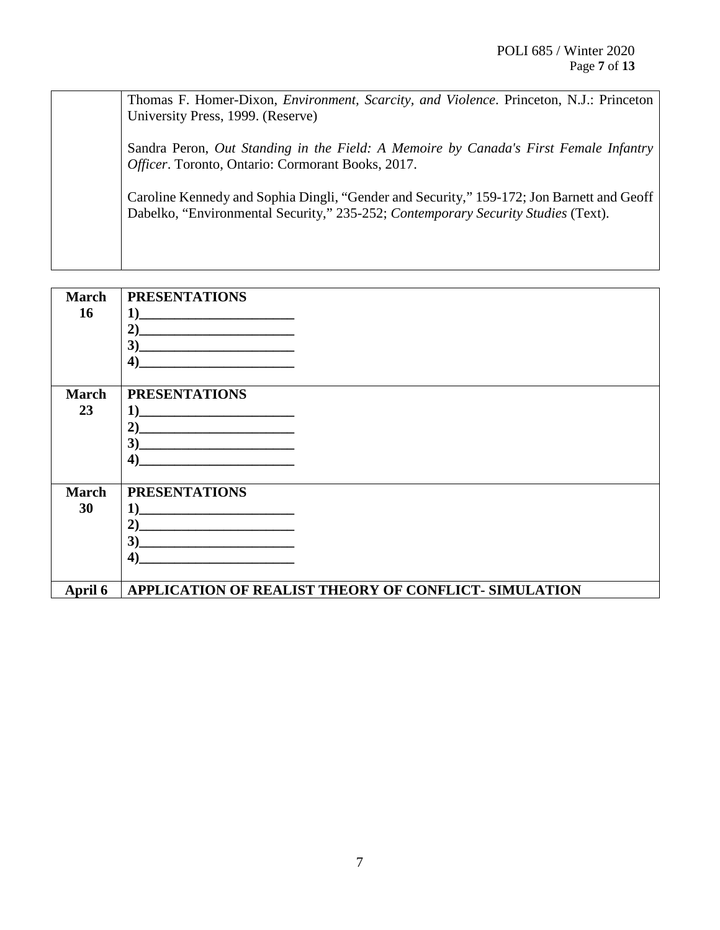Thomas F. Homer-Dixon, *Environment, Scarcity, and Violence*. Princeton, N.J.: Princeton University Press, 1999. (Reserve) Sandra Peron, *Out Standing in the Field: A Memoire by Canada's First Female Infantry Officer*. Toronto, Ontario: Cormorant Books, 2017. Caroline Kennedy and Sophia Dingli, "Gender and Security," 159-172; Jon Barnett and Geoff Dabelko, "Environmental Security," 235-252; *Contemporary Security Studies* (Text).

| <b>March</b> | <b>PRESENTATIONS</b>                                                                                                       |
|--------------|----------------------------------------------------------------------------------------------------------------------------|
| 16           | 1)                                                                                                                         |
|              | 2)<br><u> 2000 - 2000 - 2000 - 2000 - 2000 - 2000 - 2000 - 2000 - 2000 - 2000 - 2000 - 2000 - 2000 - 2000 - 2000 - 200</u> |
|              | 3)<br>the control of the control of the control of the control of the control of                                           |
|              | 4)                                                                                                                         |
| <b>March</b> | <b>PRESENTATIONS</b>                                                                                                       |
| 23           | $\bf{1)}$                                                                                                                  |
|              | 2)                                                                                                                         |
|              | <u> 1980 - Jan Stein Stein Stein Stein Stein Stein Stein Stein Stein Stein Stein Stein Stein Stein Stein Stein S</u><br>3) |
|              | 4)                                                                                                                         |
|              |                                                                                                                            |
| <b>March</b> | <b>PRESENTATIONS</b>                                                                                                       |
| 30           | $\bf{1}$                                                                                                                   |
|              | 2)<br>the contract of the contract of the contract of                                                                      |
|              | 3)                                                                                                                         |
|              | $\boldsymbol{4}$                                                                                                           |
| April 6      | <b>APPLICATION OF REALIST THEORY OF CONFLICT- SIMULATION</b>                                                               |
|              |                                                                                                                            |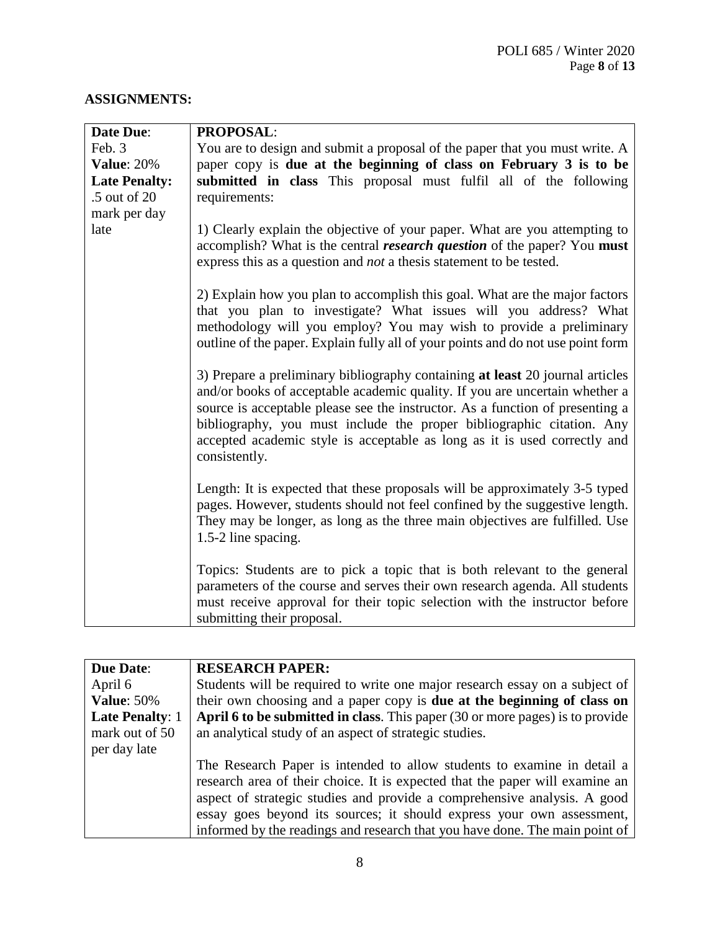# **ASSIGNMENTS:**

| <b>Date Due:</b>     | <b>PROPOSAL:</b>                                                                                                                                                                                                                                                                                                                                                                                                     |
|----------------------|----------------------------------------------------------------------------------------------------------------------------------------------------------------------------------------------------------------------------------------------------------------------------------------------------------------------------------------------------------------------------------------------------------------------|
| Feb. 3               | You are to design and submit a proposal of the paper that you must write. A                                                                                                                                                                                                                                                                                                                                          |
| <b>Value: 20%</b>    | paper copy is due at the beginning of class on February 3 is to be                                                                                                                                                                                                                                                                                                                                                   |
| <b>Late Penalty:</b> | submitted in class This proposal must fulfil all of the following                                                                                                                                                                                                                                                                                                                                                    |
| .5 out of 20         | requirements:                                                                                                                                                                                                                                                                                                                                                                                                        |
| mark per day         |                                                                                                                                                                                                                                                                                                                                                                                                                      |
| late                 | 1) Clearly explain the objective of your paper. What are you attempting to<br>accomplish? What is the central <i>research question</i> of the paper? You must<br>express this as a question and <i>not</i> a thesis statement to be tested.                                                                                                                                                                          |
|                      | 2) Explain how you plan to accomplish this goal. What are the major factors<br>that you plan to investigate? What issues will you address? What<br>methodology will you employ? You may wish to provide a preliminary<br>outline of the paper. Explain fully all of your points and do not use point form                                                                                                            |
|                      | 3) Prepare a preliminary bibliography containing at least 20 journal articles<br>and/or books of acceptable academic quality. If you are uncertain whether a<br>source is acceptable please see the instructor. As a function of presenting a<br>bibliography, you must include the proper bibliographic citation. Any<br>accepted academic style is acceptable as long as it is used correctly and<br>consistently. |
|                      | Length: It is expected that these proposals will be approximately 3-5 typed<br>pages. However, students should not feel confined by the suggestive length.<br>They may be longer, as long as the three main objectives are fulfilled. Use<br>1.5-2 line spacing.                                                                                                                                                     |
|                      | Topics: Students are to pick a topic that is both relevant to the general<br>parameters of the course and serves their own research agenda. All students<br>must receive approval for their topic selection with the instructor before<br>submitting their proposal.                                                                                                                                                 |

| <b>Due Date:</b>       | <b>RESEARCH PAPER:</b>                                                         |
|------------------------|--------------------------------------------------------------------------------|
| April 6                | Students will be required to write one major research essay on a subject of    |
| <b>Value: 50%</b>      | their own choosing and a paper copy is <b>due at the beginning of class on</b> |
| <b>Late Penalty: 1</b> | April 6 to be submitted in class. This paper (30 or more pages) is to provide  |
| mark out of 50         | an analytical study of an aspect of strategic studies.                         |
| per day late           |                                                                                |
|                        | The Research Paper is intended to allow students to examine in detail a        |
|                        | research area of their choice. It is expected that the paper will examine an   |
|                        | aspect of strategic studies and provide a comprehensive analysis. A good       |
|                        | essay goes beyond its sources; it should express your own assessment,          |
|                        | informed by the readings and research that you have done. The main point of    |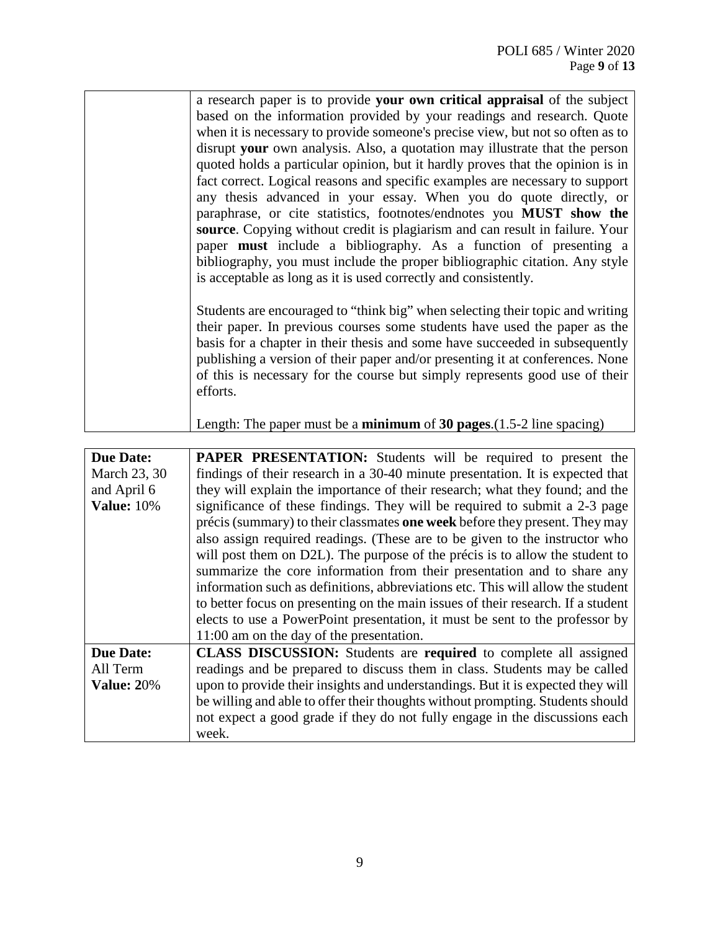| a research paper is to provide your own critical appraisal of the subject                                                                                                                                                                                                                                                                                                                                               |
|-------------------------------------------------------------------------------------------------------------------------------------------------------------------------------------------------------------------------------------------------------------------------------------------------------------------------------------------------------------------------------------------------------------------------|
| based on the information provided by your readings and research. Quote                                                                                                                                                                                                                                                                                                                                                  |
| when it is necessary to provide someone's precise view, but not so often as to                                                                                                                                                                                                                                                                                                                                          |
| disrupt your own analysis. Also, a quotation may illustrate that the person                                                                                                                                                                                                                                                                                                                                             |
| quoted holds a particular opinion, but it hardly proves that the opinion is in                                                                                                                                                                                                                                                                                                                                          |
| fact correct. Logical reasons and specific examples are necessary to support                                                                                                                                                                                                                                                                                                                                            |
| any thesis advanced in your essay. When you do quote directly, or                                                                                                                                                                                                                                                                                                                                                       |
| paraphrase, or cite statistics, footnotes/endnotes you MUST show the                                                                                                                                                                                                                                                                                                                                                    |
| source. Copying without credit is plagiarism and can result in failure. Your                                                                                                                                                                                                                                                                                                                                            |
| paper <b>must</b> include a bibliography. As a function of presenting a                                                                                                                                                                                                                                                                                                                                                 |
| bibliography, you must include the proper bibliographic citation. Any style                                                                                                                                                                                                                                                                                                                                             |
| is acceptable as long as it is used correctly and consistently.                                                                                                                                                                                                                                                                                                                                                         |
|                                                                                                                                                                                                                                                                                                                                                                                                                         |
| Students are encouraged to "think big" when selecting their topic and writing                                                                                                                                                                                                                                                                                                                                           |
|                                                                                                                                                                                                                                                                                                                                                                                                                         |
|                                                                                                                                                                                                                                                                                                                                                                                                                         |
|                                                                                                                                                                                                                                                                                                                                                                                                                         |
|                                                                                                                                                                                                                                                                                                                                                                                                                         |
|                                                                                                                                                                                                                                                                                                                                                                                                                         |
|                                                                                                                                                                                                                                                                                                                                                                                                                         |
|                                                                                                                                                                                                                                                                                                                                                                                                                         |
| their paper. In previous courses some students have used the paper as the<br>basis for a chapter in their thesis and some have succeeded in subsequently<br>publishing a version of their paper and/or presenting it at conferences. None<br>of this is necessary for the course but simply represents good use of their<br>efforts.<br>Length: The paper must be a <b>minimum</b> of 30 pages. $(1.5-2)$ line spacing) |

| <b>Due Date:</b>  | <b>PAPER PRESENTATION:</b> Students will be required to present the              |
|-------------------|----------------------------------------------------------------------------------|
| March 23, 30      | findings of their research in a 30-40 minute presentation. It is expected that   |
| and April 6       | they will explain the importance of their research; what they found; and the     |
| <b>Value: 10%</b> | significance of these findings. They will be required to submit a 2-3 page       |
|                   | précis (summary) to their classmates one week before they present. They may      |
|                   | also assign required readings. (These are to be given to the instructor who      |
|                   | will post them on D2L). The purpose of the précis is to allow the student to     |
|                   | summarize the core information from their presentation and to share any          |
|                   | information such as definitions, abbreviations etc. This will allow the student  |
|                   | to better focus on presenting on the main issues of their research. If a student |
|                   | elects to use a PowerPoint presentation, it must be sent to the professor by     |
|                   | 11:00 am on the day of the presentation.                                         |
| <b>Due Date:</b>  | <b>CLASS DISCUSSION:</b> Students are required to complete all assigned          |
| All Term          | readings and be prepared to discuss them in class. Students may be called        |
| <b>Value: 20%</b> | upon to provide their insights and understandings. But it is expected they will  |
|                   | be willing and able to offer their thoughts without prompting. Students should   |
|                   | not expect a good grade if they do not fully engage in the discussions each      |
|                   | week.                                                                            |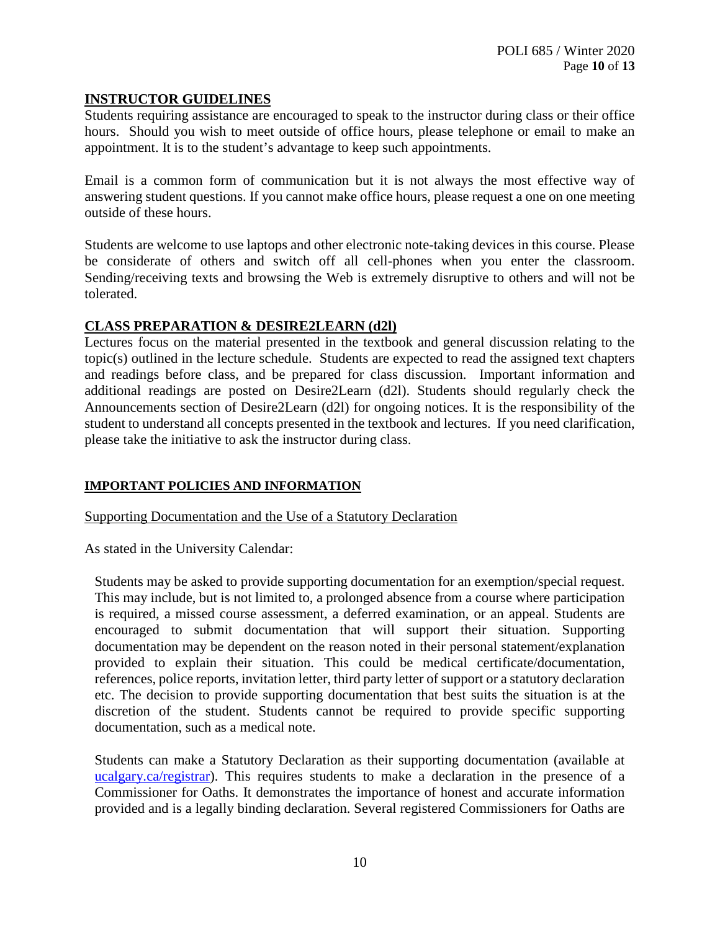## **INSTRUCTOR GUIDELINES**

Students requiring assistance are encouraged to speak to the instructor during class or their office hours. Should you wish to meet outside of office hours, please telephone or email to make an appointment. It is to the student's advantage to keep such appointments.

Email is a common form of communication but it is not always the most effective way of answering student questions. If you cannot make office hours, please request a one on one meeting outside of these hours.

Students are welcome to use laptops and other electronic note-taking devices in this course. Please be considerate of others and switch off all cell-phones when you enter the classroom. Sending/receiving texts and browsing the Web is extremely disruptive to others and will not be tolerated.

## **CLASS PREPARATION & DESIRE2LEARN (d2l)**

Lectures focus on the material presented in the textbook and general discussion relating to the topic(s) outlined in the lecture schedule. Students are expected to read the assigned text chapters and readings before class, and be prepared for class discussion. Important information and additional readings are posted on Desire2Learn (d2l). Students should regularly check the Announcements section of Desire2Learn (d2l) for ongoing notices. It is the responsibility of the student to understand all concepts presented in the textbook and lectures. If you need clarification, please take the initiative to ask the instructor during class.

#### **IMPORTANT POLICIES AND INFORMATION**

Supporting Documentation and the Use of a Statutory Declaration

As stated in the University Calendar:

Students may be asked to provide supporting documentation for an exemption/special request. This may include, but is not limited to, a prolonged absence from a course where participation is required, a missed course assessment, a deferred examination, or an appeal. Students are encouraged to submit documentation that will support their situation. Supporting documentation may be dependent on the reason noted in their personal statement/explanation provided to explain their situation. This could be medical certificate/documentation, references, police reports, invitation letter, third party letter of support or a statutory declaration etc. The decision to provide supporting documentation that best suits the situation is at the discretion of the student. Students cannot be required to provide specific supporting documentation, such as a medical note.

Students can make a Statutory Declaration as their supporting documentation (available at ucalgary.ca/registrar). This requires students to make a declaration in the presence of a Commissioner for Oaths. It demonstrates the importance of honest and accurate information provided and is a legally binding declaration. Several registered Commissioners for Oaths are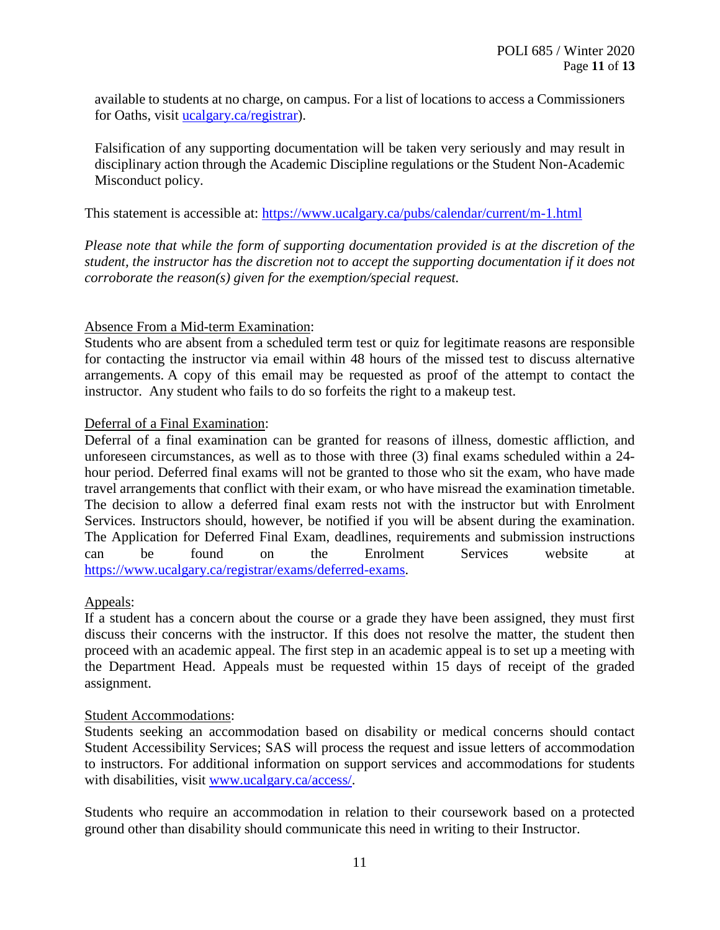available to students at no charge, on campus. For a list of locations to access a Commissioners for Oaths, visit [ucalgary.ca/registrar\)](http://www.ucalgary.ca/registrar).

Falsification of any supporting documentation will be taken very seriously and may result in disciplinary action through the Academic Discipline regulations or the Student Non-Academic Misconduct policy.

This statement is accessible at:<https://www.ucalgary.ca/pubs/calendar/current/m-1.html>

*Please note that while the form of supporting documentation provided is at the discretion of the student, the instructor has the discretion not to accept the supporting documentation if it does not corroborate the reason(s) given for the exemption/special request.*

## Absence From a Mid-term Examination:

Students who are absent from a scheduled term test or quiz for legitimate reasons are responsible for contacting the instructor via email within 48 hours of the missed test to discuss alternative arrangements. A copy of this email may be requested as proof of the attempt to contact the instructor. Any student who fails to do so forfeits the right to a makeup test.

## Deferral of a Final Examination:

Deferral of a final examination can be granted for reasons of illness, domestic affliction, and unforeseen circumstances, as well as to those with three (3) final exams scheduled within a 24 hour period. Deferred final exams will not be granted to those who sit the exam, who have made travel arrangements that conflict with their exam, or who have misread the examination timetable. The decision to allow a deferred final exam rests not with the instructor but with Enrolment Services. Instructors should, however, be notified if you will be absent during the examination. The Application for Deferred Final Exam, deadlines, requirements and submission instructions can be found on the Enrolment Services website at [https://www.ucalgary.ca/registrar/exams/deferred-exams.](https://www.ucalgary.ca/registrar/exams/deferred-exams)

#### Appeals:

If a student has a concern about the course or a grade they have been assigned, they must first discuss their concerns with the instructor. If this does not resolve the matter, the student then proceed with an academic appeal. The first step in an academic appeal is to set up a meeting with the Department Head. Appeals must be requested within 15 days of receipt of the graded assignment.

#### Student Accommodations:

Students seeking an accommodation based on disability or medical concerns should contact Student Accessibility Services; SAS will process the request and issue letters of accommodation to instructors. For additional information on support services and accommodations for students with disabilities, visit [www.ucalgary.ca/access/.](http://www.ucalgary.ca/access/)

Students who require an accommodation in relation to their coursework based on a protected ground other than disability should communicate this need in writing to their Instructor.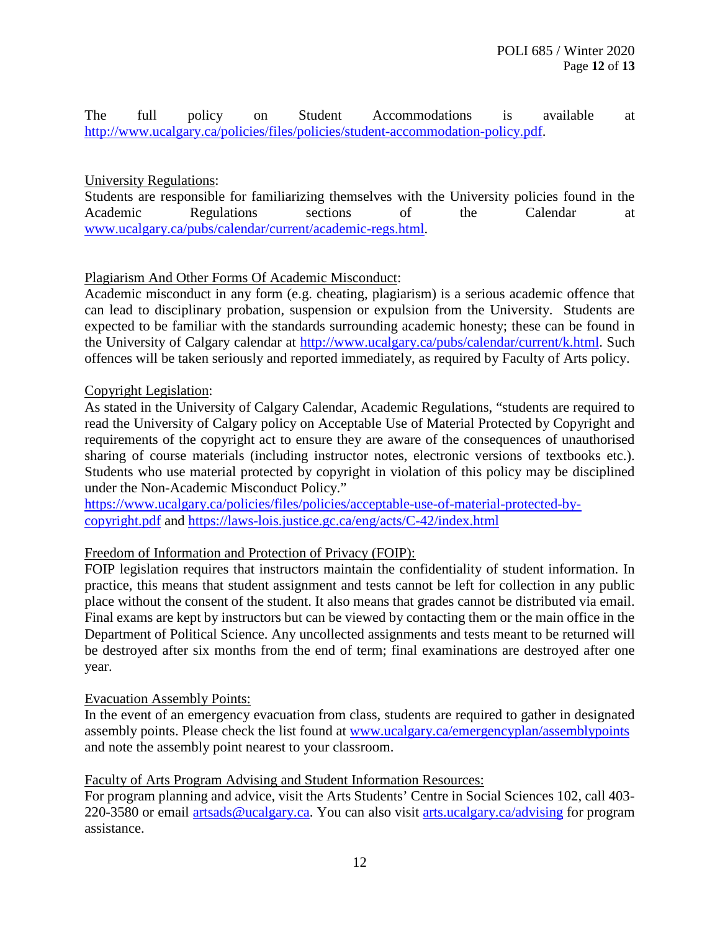The full policy on Student Accommodations is available at [http://www.ucalgary.ca/policies/files/policies/student-accommodation-policy.pdf.](http://www.ucalgary.ca/policies/files/policies/student-accommodation-policy.pdf)

## University Regulations:

Students are responsible for familiarizing themselves with the University policies found in the Academic Regulations sections of the Calendar at [www.ucalgary.ca/pubs/calendar/current/academic-regs.html.](http://www.ucalgary.ca/pubs/calendar/current/academic-regs.html)

## Plagiarism And Other Forms Of Academic Misconduct:

Academic misconduct in any form (e.g. cheating, plagiarism) is a serious academic offence that can lead to disciplinary probation, suspension or expulsion from the University. Students are expected to be familiar with the standards surrounding academic honesty; these can be found in the University of Calgary calendar at [http://www.ucalgary.ca/pubs/calendar/current/k.html.](http://www.ucalgary.ca/pubs/calendar/current/k.html) Such offences will be taken seriously and reported immediately, as required by Faculty of Arts policy.

#### Copyright Legislation:

As stated in the University of Calgary Calendar, Academic Regulations, "students are required to read the University of Calgary policy on Acceptable Use of Material Protected by Copyright and requirements of the copyright act to ensure they are aware of the consequences of unauthorised sharing of course materials (including instructor notes, electronic versions of textbooks etc.). Students who use material protected by copyright in violation of this policy may be disciplined under the Non-Academic Misconduct Policy."

[https://www.ucalgary.ca/policies/files/policies/acceptable-use-of-material-protected-by](https://www.ucalgary.ca/policies/files/policies/acceptable-use-of-material-protected-by-copyright.pdf)[copyright.pdf](https://www.ucalgary.ca/policies/files/policies/acceptable-use-of-material-protected-by-copyright.pdf) and<https://laws-lois.justice.gc.ca/eng/acts/C-42/index.html>

#### Freedom of Information and Protection of Privacy (FOIP):

FOIP legislation requires that instructors maintain the confidentiality of student information. In practice, this means that student assignment and tests cannot be left for collection in any public place without the consent of the student. It also means that grades cannot be distributed via email. Final exams are kept by instructors but can be viewed by contacting them or the main office in the Department of Political Science. Any uncollected assignments and tests meant to be returned will be destroyed after six months from the end of term; final examinations are destroyed after one year.

#### Evacuation Assembly Points:

In the event of an emergency evacuation from class, students are required to gather in designated assembly points. Please check the list found at [www.ucalgary.ca/emergencyplan/assemblypoints](http://www.ucalgary.ca/emergencyplan/assemblypoints) and note the assembly point nearest to your classroom.

#### Faculty of Arts Program Advising and Student Information Resources:

For program planning and advice, visit the Arts Students' Centre in Social Sciences 102, call 403- 220-3580 or email [artsads@ucalgary.ca.](mailto:artsads@ucalgary.ca) You can also visit [arts.ucalgary.ca/advising](http://arts.ucalgary.ca/advising) for program assistance.